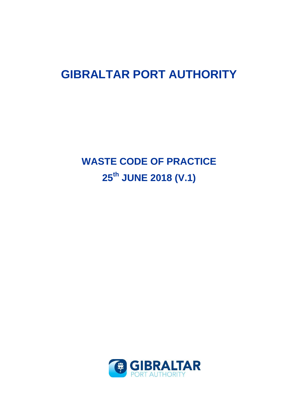# **GIBRALTAR PORT AUTHORITY**

**WASTE CODE OF PRACTICE 25th JUNE 2018 (V.1)**

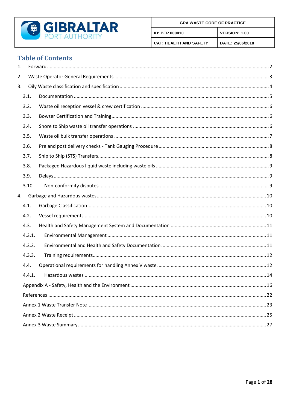

# **Table of Contents**

| 1. |        |  |
|----|--------|--|
| 2. |        |  |
| 3. |        |  |
|    | 3.1.   |  |
|    | 3.2.   |  |
|    | 3.3.   |  |
|    | 3.4.   |  |
|    | 3.5.   |  |
|    | 3.6.   |  |
|    | 3.7.   |  |
|    | 3.8.   |  |
|    | 3.9.   |  |
|    | 3.10.  |  |
| 4. |        |  |
|    | 4.1.   |  |
|    | 4.2.   |  |
|    | 4.3.   |  |
|    | 4.3.1. |  |
|    | 4.3.2. |  |
|    | 4.3.3. |  |
|    | 4.4.   |  |
|    | 4.4.1. |  |
|    |        |  |
|    |        |  |
|    |        |  |
|    |        |  |
|    |        |  |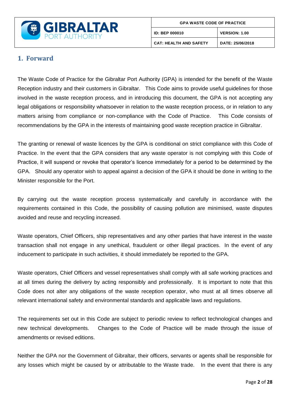

### <span id="page-2-0"></span>**1. Forward**

The Waste Code of Practice for the Gibraltar Port Authority (GPA) is intended for the benefit of the Waste Reception industry and their customers in Gibraltar. This Code aims to provide useful guidelines for those involved in the waste reception process, and in introducing this document, the GPA is not accepting any legal obligations or responsibility whatsoever in relation to the waste reception process, or in relation to any matters arising from compliance or non-compliance with the Code of Practice. This Code consists of recommendations by the GPA in the interests of maintaining good waste reception practice in Gibraltar.

The granting or renewal of waste licences by the GPA is conditional on strict compliance with this Code of Practice. In the event that the GPA considers that any waste operator is not complying with this Code of Practice, it will suspend or revoke that operator's licence immediately for a period to be determined by the GPA. Should any operator wish to appeal against a decision of the GPA it should be done in writing to the Minister responsible for the Port.

By carrying out the waste reception process systematically and carefully in accordance with the requirements contained in this Code, the possibility of causing pollution are minimised, waste disputes avoided and reuse and recycling increased.

Waste operators, Chief Officers, ship representatives and any other parties that have interest in the waste transaction shall not engage in any unethical, fraudulent or other illegal practices. In the event of any inducement to participate in such activities, it should immediately be reported to the GPA.

Waste operators, Chief Officers and vessel representatives shall comply with all safe working practices and at all times during the delivery by acting responsibly and professionally. It is important to note that this Code does not alter any obligations of the waste reception operator, who must at all times observe all relevant international safety and environmental standards and applicable laws and regulations.

The requirements set out in this Code are subject to periodic review to reflect technological changes and new technical developments. Changes to the Code of Practice will be made through the issue of amendments or revised editions.

Neither the GPA nor the Government of Gibraltar, their officers, servants or agents shall be responsible for any losses which might be caused by or attributable to the Waste trade. In the event that there is any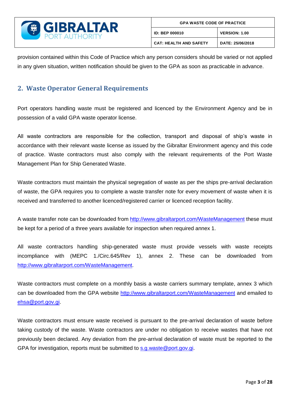

provision contained within this Code of Practice which any person considers should be varied or not applied in any given situation, written notification should be given to the GPA as soon as practicable in advance.

## <span id="page-3-0"></span>**2. Waste Operator General Requirements**

Port operators handling waste must be registered and licenced by the Environment Agency and be in possession of a valid GPA waste operator license.

All waste contractors are responsible for the collection, transport and disposal of ship's waste in accordance with their relevant waste license as issued by the Gibraltar Environment agency and this code of practice. Waste contractors must also comply with the relevant requirements of the Port Waste Management Plan for Ship Generated Waste.

Waste contractors must maintain the physical segregation of waste as per the ships pre-arrival declaration of waste, the GPA requires you to complete a waste transfer note for every movement of waste when it is received and transferred to another licenced/registered carrier or licenced reception facility.

A waste transfer note can be downloaded from<http://www.gibraltarport.com/WasteManagement> these must be kept for a period of a three years available for inspection when required annex 1.

All waste contractors handling ship-generated waste must provide vessels with waste receipts incompliance with (MEPC 1./Circ.645/Rev 1), annex 2. These can be downloaded from [http://www.gibraltarport.com/WasteManagement.](http://www.gibraltarport.com/WasteManagement)

Waste contractors must complete on a monthly basis a waste carriers summary template, annex 3 which can be downloaded from the GPA website<http://www.gibraltarport.com/WasteManagement> and emailed to [ehsa@port.gov.gi.](mailto:ehsa@port.gov.gi)

Waste contractors must ensure waste received is pursuant to the pre-arrival declaration of waste before taking custody of the waste. Waste contractors are under no obligation to receive wastes that have not previously been declared. Any deviation from the pre-arrival declaration of waste must be reported to the GPA for investigation, reports must be submitted to [s.g.waste@port.gov.gi.](mailto:s.g.waste@port.gov.gi)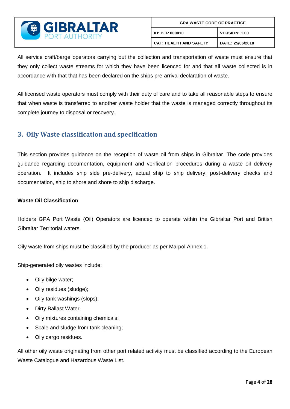

All service craft/barge operators carrying out the collection and transportation of waste must ensure that they only collect waste streams for which they have been licenced for and that all waste collected is in accordance with that that has been declared on the ships pre-arrival declaration of waste.

All licensed waste operators must comply with their duty of care and to take all reasonable steps to ensure that when waste is transferred to another waste holder that the waste is managed correctly throughout its complete journey to disposal or recovery.

### <span id="page-4-0"></span>**3. Oily Waste classification and specification**

This section provides guidance on the reception of waste oil from ships in Gibraltar. The code provides guidance regarding documentation, equipment and verification procedures during a waste oil delivery operation. It includes ship side pre-delivery, actual ship to ship delivery, post-delivery checks and documentation, ship to shore and shore to ship discharge.

#### **Waste Oil Classification**

Holders GPA Port Waste (Oil) Operators are licenced to operate within the Gibraltar Port and British Gibraltar Territorial waters.

Oily waste from ships must be classified by the producer as per Marpol Annex 1.

Ship-generated oily wastes include:

- Oily bilge water;
- Oily residues (sludge);
- Oily tank washings (slops);
- Dirty Ballast Water;
- Oily mixtures containing chemicals;
- Scale and sludge from tank cleaning;
- Oily cargo residues.

All other oily waste originating from other port related activity must be classified according to the European Waste Catalogue and Hazardous Waste List.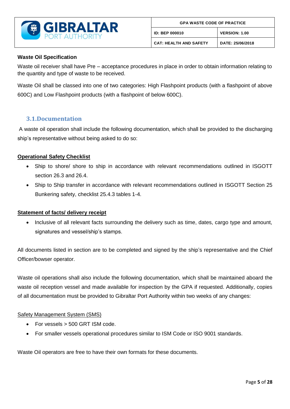

#### **Waste Oil Specification**

Waste oil receiver shall have Pre – acceptance procedures in place in order to obtain information relating to the quantity and type of waste to be received.

Waste Oil shall be classed into one of two categories: High Flashpoint products (with a flashpoint of above 600C) and Low Flashpoint products (with a flashpoint of below 600C).

### <span id="page-5-0"></span>**3.1.Documentation**

A waste oil operation shall include the following documentation, which shall be provided to the discharging ship's representative without being asked to do so:

#### **Operational Safety Checklist**

- Ship to shore/ shore to ship in accordance with relevant recommendations outlined in ISGOTT section 26.3 and 26.4.
- Ship to Ship transfer in accordance with relevant recommendations outlined in ISGOTT Section 25 Bunkering safety, checklist 25.4.3 tables 1-4.

#### **Statement of facts/ delivery receipt**

 Inclusive of all relevant facts surrounding the delivery such as time, dates, cargo type and amount, signatures and vessel/ship's stamps.

All documents listed in section are to be completed and signed by the ship's representative and the Chief Officer/bowser operator.

Waste oil operations shall also include the following documentation, which shall be maintained aboard the waste oil reception vessel and made available for inspection by the GPA if requested. Additionally, copies of all documentation must be provided to Gibraltar Port Authority within two weeks of any changes:

#### Safety Management System (SMS)

- For vessels > 500 GRT ISM code.
- For smaller vessels operational procedures similar to ISM Code or ISO 9001 standards.

Waste Oil operators are free to have their own formats for these documents.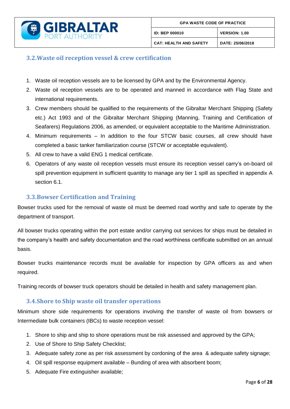

### <span id="page-6-0"></span>**3.2.Waste oil reception vessel & crew certification**

- 1. Waste oil reception vessels are to be licensed by GPA and by the Environmental Agency.
- 2. Waste oil reception vessels are to be operated and manned in accordance with Flag State and international requirements.
- 3. Crew members should be qualified to the requirements of the Gibraltar Merchant Shipping (Safety etc.) Act 1993 and of the Gibraltar Merchant Shipping (Manning, Training and Certification of Seafarers) Regulations 2006, as amended, or equivalent acceptable to the Maritime Administration.
- 4. Minimum requirements In addition to the four STCW basic courses, all crew should have completed a basic tanker familiarization course (STCW or acceptable equivalent).
- 5. All crew to have a valid ENG 1 medical certificate.
- 6. Operators of any waste oil reception vessels must ensure its reception vessel carry's on-board oil spill prevention equipment in sufficient quantity to manage any tier 1 spill as specified in appendix A section 6.1.

### <span id="page-6-1"></span>**3.3.Bowser Certification and Training**

Bowser trucks used for the removal of waste oil must be deemed road worthy and safe to operate by the department of transport.

All bowser trucks operating within the port estate and/or carrying out services for ships must be detailed in the company's health and safety documentation and the road worthiness certificate submitted on an annual basis.

Bowser trucks maintenance records must be available for inspection by GPA officers as and when required.

Training records of bowser truck operators should be detailed in health and safety management plan.

### <span id="page-6-2"></span>**3.4.Shore to Ship waste oil transfer operations**

Minimum shore side requirements for operations involving the transfer of waste oil from bowsers or Intermediate bulk containers (IBCs) to waste reception vessel:

- 1. Shore to ship and ship to shore operations must be risk assessed and approved by the GPA;
- 2. Use of Shore to Ship Safety Checklist;
- 3. Adequate safety zone as per risk assessment by cordoning of the area & adequate safety signage;
- 4. Oil spill response equipment available Bunding of area with absorbent boom;
- 5. Adequate Fire extinguisher available;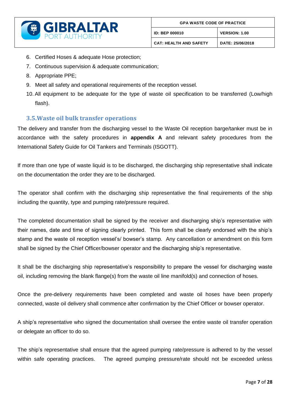

- 6. Certified Hoses & adequate Hose protection;
- 7. Continuous supervision & adequate communication;
- 8. Appropriate PPE;
- 9. Meet all safety and operational requirements of the reception vessel.
- 10. All equipment to be adequate for the type of waste oil specification to be transferred (Low/high flash).

### <span id="page-7-0"></span>**3.5.Waste oil bulk transfer operations**

The delivery and transfer from the discharging vessel to the Waste Oil reception barge/tanker must be in accordance with the safety procedures in **appendix A** and relevant safety procedures from the International Safety Guide for Oil Tankers and Terminals (ISGOTT).

If more than one type of waste liquid is to be discharged, the discharging ship representative shall indicate on the documentation the order they are to be discharged.

The operator shall confirm with the discharging ship representative the final requirements of the ship including the quantity, type and pumping rate/pressure required.

The completed documentation shall be signed by the receiver and discharging ship's representative with their names, date and time of signing clearly printed. This form shall be clearly endorsed with the ship's stamp and the waste oil reception vessel's/ bowser's stamp. Any cancellation or amendment on this form shall be signed by the Chief Officer/bowser operator and the discharging ship's representative.

It shall be the discharging ship representative's responsibility to prepare the vessel for discharging waste oil, including removing the blank flange(s) from the waste oil line manifold(s) and connection of hoses.

Once the pre-delivery requirements have been completed and waste oil hoses have been properly connected, waste oil delivery shall commence after confirmation by the Chief Officer or bowser operator.

A ship's representative who signed the documentation shall oversee the entire waste oil transfer operation or delegate an officer to do so.

The ship's representative shall ensure that the agreed pumping rate/pressure is adhered to by the vessel within safe operating practices. The agreed pumping pressure/rate should not be exceeded unless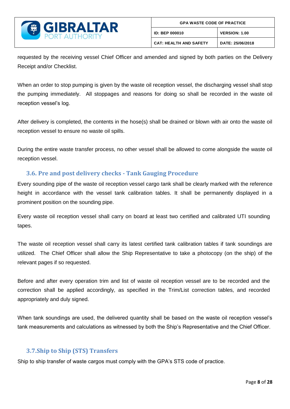

requested by the receiving vessel Chief Officer and amended and signed by both parties on the Delivery Receipt and/or Checklist.

When an order to stop pumping is given by the waste oil reception vessel, the discharging vessel shall stop the pumping immediately. All stoppages and reasons for doing so shall be recorded in the waste oil reception vessel's log.

After delivery is completed, the contents in the hose(s) shall be drained or blown with air onto the waste oil reception vessel to ensure no waste oil spills.

During the entire waste transfer process, no other vessel shall be allowed to come alongside the waste oil reception vessel.

### <span id="page-8-0"></span>**3.6. Pre and post delivery checks - Tank Gauging Procedure**

Every sounding pipe of the waste oil reception vessel cargo tank shall be clearly marked with the reference height in accordance with the vessel tank calibration tables. It shall be permanently displayed in a prominent position on the sounding pipe.

Every waste oil reception vessel shall carry on board at least two certified and calibrated UTI sounding tapes.

The waste oil reception vessel shall carry its latest certified tank calibration tables if tank soundings are utilized. The Chief Officer shall allow the Ship Representative to take a photocopy (on the ship) of the relevant pages if so requested.

Before and after every operation trim and list of waste oil reception vessel are to be recorded and the correction shall be applied accordingly, as specified in the Trim/List correction tables, and recorded appropriately and duly signed.

When tank soundings are used, the delivered quantity shall be based on the waste oil reception vessel's tank measurements and calculations as witnessed by both the Ship's Representative and the Chief Officer.

### <span id="page-8-1"></span>**3.7.Ship to Ship (STS) Transfers**

Ship to ship transfer of waste cargos must comply with the GPA's STS code of practice.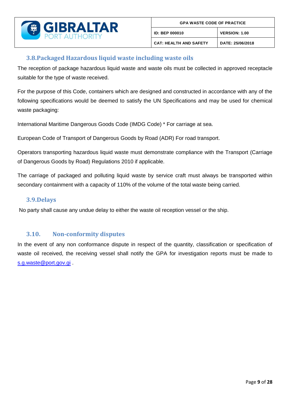

### <span id="page-9-0"></span>**3.8.Packaged Hazardous liquid waste including waste oils**

The reception of package hazardous liquid waste and waste oils must be collected in approved receptacle suitable for the type of waste received.

For the purpose of this Code, containers which are designed and constructed in accordance with any of the following specifications would be deemed to satisfy the UN Specifications and may be used for chemical waste packaging:

International Maritime Dangerous Goods Code (IMDG Code) \* For carriage at sea.

European Code of Transport of Dangerous Goods by Road (ADR) For road transport.

Operators transporting hazardous liquid waste must demonstrate compliance with the Transport (Carriage of Dangerous Goods by Road) Regulations 2010 if applicable.

The carriage of packaged and polluting liquid waste by service craft must always be transported within secondary containment with a capacity of 110% of the volume of the total waste being carried.

### <span id="page-9-1"></span>**3.9.Delays**

No party shall cause any undue delay to either the waste oil reception vessel or the ship.

### <span id="page-9-2"></span>**3.10. Non-conformity disputes**

In the event of any non conformance dispute in respect of the quantity, classification or specification of waste oil received, the receiving vessel shall notify the GPA for investigation reports must be made to [s.g.waste@port.gov.gi](mailto:s.g.waste@port.gov.gi) .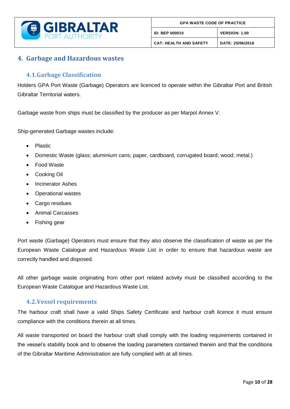

### <span id="page-10-0"></span>**4. Garbage and Hazardous wastes**

### <span id="page-10-1"></span>**4.1.Garbage Classification**

Holders GPA Port Waste (Garbage) Operators are licenced to operate within the Gibraltar Port and British Gibraltar Territorial waters.

Garbage waste from ships must be classified by the producer as per Marpol Annex V.

Ship-generated Garbage wastes include:

- Plastic
- Domestic Waste (glass; aluminium cans; paper, cardboard, corrugated board; wood; metal.)
- Food Waste
- Cooking Oil
- Incinerator Ashes
- Operational wastes
- Cargo residues
- Animal Carcasses
- Fishing gear

Port waste (Garbage) Operators must ensure that they also observe the classification of waste as per the European Waste Catalogue and Hazardous Waste List in order to ensure that hazardous waste are correctly handled and disposed.

All other garbage waste originating from other port related activity must be classified according to the European Waste Catalogue and Hazardous Waste List.

### <span id="page-10-2"></span>**4.2.Vessel requirements**

The harbour craft shall have a valid Ships Safety Certificate and harbour craft licence it must ensure compliance with the conditions therein at all times.

All waste transported on board the harbour craft shall comply with the loading requirements contained in the vessel's stability book and to observe the loading parameters contained therein and that the conditions of the Gibraltar Maritime Administration are fully complied with at all times.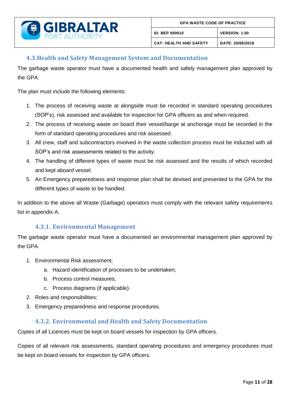

### <span id="page-11-0"></span>**4.3.Health and Safety Management System and Documentation**

The garbage waste operator must have a documented health and safety management plan approved by the GPA.

The plan must include the following elements:

- 1. The process of receiving waste at alongside must be recorded in standard operating procedures (SOP's), risk assessed and available for inspection for GPA officers as and when required.
- 2. The process of receiving waste on board their vessel/barge at anchorage must be recorded in the form of standard operating procedures and risk assessed.
- 3. All crew, staff and subcontractors involved in the waste collection process must be inducted with all SOP's and risk assessments related to the activity.
- 4. The handling of different types of waste must be risk assessed and the results of which recorded and kept aboard vessel.
- 5. An Emergency preparedness and response plan shall be devised and presented to the GPA for the different types of waste to be handled.

In addition to the above all Waste (Garbage) operators must comply with the relevant safety requirements list in appendix A.

### **4.3.1. Environmental Management**

<span id="page-11-1"></span>The garbage waste operator must have a documented an environmental management plan approved by the GPA.

- 1. Environmental Risk assessment;
	- a. Hazard identification of processes to be undertaken;
	- b. Process control measures;
	- c. Process diagrams (if applicable).
- 2. Roles and responsibilities;
- 3. Emergency preparedness and response procedures.

### **4.3.2. Environmental and Health and Safety Documentation**

<span id="page-11-2"></span>Copies of all Licences must be kept on board vessels for inspection by GPA officers.

Copies of all relevant risk assessments, standard operating procedures and emergency procedures must be kept on board vessels for inspection by GPA officers.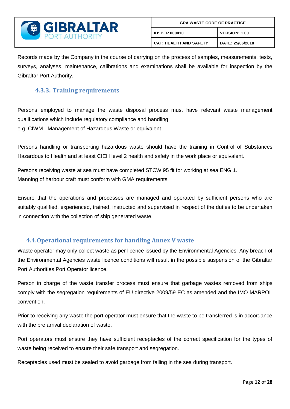

Records made by the Company in the course of carrying on the process of samples, measurements, tests, surveys, analyses, maintenance, calibrations and examinations shall be available for inspection by the Gibraltar Port Authority.

### <span id="page-12-0"></span>**4.3.3. Training requirements**

Persons employed to manage the waste disposal process must have relevant waste management qualifications which include regulatory compliance and handling. e.g. CIWM - Management of Hazardous Waste or equivalent.

Persons handling or transporting hazardous waste should have the training in Control of Substances Hazardous to Health and at least CIEH level 2 health and safety in the work place or equivalent.

Persons receiving waste at sea must have completed STCW 95 fit for working at sea ENG 1. Manning of harbour craft must conform with GMA requirements.

Ensure that the operations and processes are managed and operated by sufficient persons who are suitably qualified, experienced, trained, instructed and supervised in respect of the duties to be undertaken in connection with the collection of ship generated waste.

### <span id="page-12-1"></span>**4.4.Operational requirements for handling Annex V waste**

Waste operator may only collect waste as per licence issued by the Environmental Agencies. Any breach of the Environmental Agencies waste licence conditions will result in the possible suspension of the Gibraltar Port Authorities Port Operator licence.

Person in charge of the waste transfer process must ensure that garbage wastes removed from ships comply with the segregation requirements of EU directive 2009/59 EC as amended and the IMO MARPOL convention.

Prior to receiving any waste the port operator must ensure that the waste to be transferred is in accordance with the pre arrival declaration of waste.

Port operators must ensure they have sufficient receptacles of the correct specification for the types of waste being received to ensure their safe transport and segregation.

Receptacles used must be sealed to avoid garbage from falling in the sea during transport.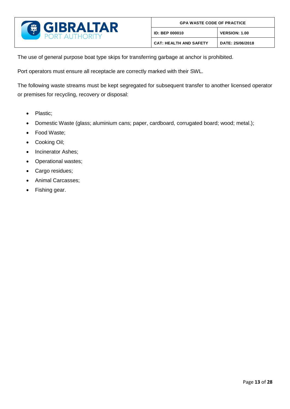

| <b>GPA WASTE CODE OF PRACTICE</b> |                      |  |
|-----------------------------------|----------------------|--|
| <b>ID: BEP 000010</b>             | <b>VERSION: 1.00</b> |  |
| <b>CAT: HEALTH AND SAFETY</b>     | DATE: 25/06/2018     |  |

The use of general purpose boat type skips for transferring garbage at anchor is prohibited.

Port operators must ensure all receptacle are correctly marked with their SWL.

The following waste streams must be kept segregated for subsequent transfer to another licensed operator or premises for recycling, recovery or disposal:

- Plastic;
- Domestic Waste (glass; aluminium cans; paper, cardboard, corrugated board; wood; metal.);
- Food Waste;
- Cooking Oil;
- Incinerator Ashes;
- Operational wastes;
- Cargo residues;
- Animal Carcasses;
- Fishing gear.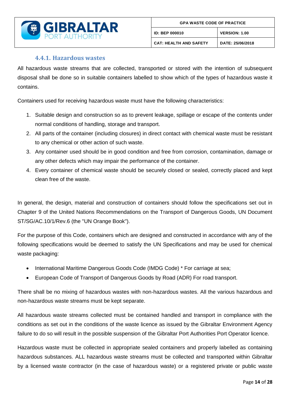

### **4.4.1. Hazardous wastes**

<span id="page-14-0"></span>All hazardous waste streams that are collected, transported or stored with the intention of subsequent disposal shall be done so in suitable containers labelled to show which of the types of hazardous waste it contains.

Containers used for receiving hazardous waste must have the following characteristics:

- 1. Suitable design and construction so as to prevent leakage, spillage or escape of the contents under normal conditions of handling, storage and transport.
- 2. All parts of the container (including closures) in direct contact with chemical waste must be resistant to any chemical or other action of such waste.
- 3. Any container used should be in good condition and free from corrosion, contamination, damage or any other defects which may impair the performance of the container.
- 4. Every container of chemical waste should be securely closed or sealed, correctly placed and kept clean free of the waste.

In general, the design, material and construction of containers should follow the specifications set out in Chapter 9 of the United Nations Recommendations on the Transport of Dangerous Goods, UN Document ST/SG/AC.10/1/Rev.6 (the "UN Orange Book").

For the purpose of this Code, containers which are designed and constructed in accordance with any of the following specifications would be deemed to satisfy the UN Specifications and may be used for chemical waste packaging:

- International Maritime Dangerous Goods Code (IMDG Code) \* For carriage at sea;
- European Code of Transport of Dangerous Goods by Road (ADR) For road transport.

There shall be no mixing of hazardous wastes with non-hazardous wastes. All the various hazardous and non-hazardous waste streams must be kept separate.

All hazardous waste streams collected must be contained handled and transport in compliance with the conditions as set out in the conditions of the waste licence as issued by the Gibraltar Environment Agency failure to do so will result in the possible suspension of the Gibraltar Port Authorities Port Operator licence.

Hazardous waste must be collected in appropriate sealed containers and properly labelled as containing hazardous substances. ALL hazardous waste streams must be collected and transported within Gibraltar by a licensed waste contractor (in the case of hazardous waste) or a registered private or public waste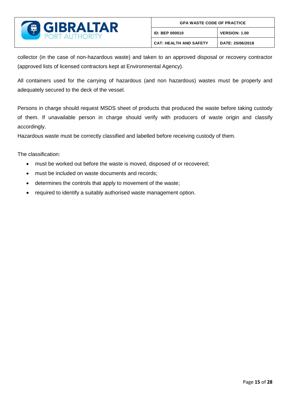

collector (in the case of non-hazardous waste) and taken to an approved disposal or recovery contractor (approved lists of licensed contractors kept at Environmental Agency).

All containers used for the carrying of hazardous (and non hazardous) wastes must be properly and adequately secured to the deck of the vessel.

Persons in charge should request MSDS sheet of products that produced the waste before taking custody of them. If unavailable person in charge should verify with producers of waste origin and classify accordingly.

Hazardous waste must be correctly classified and labelled before receiving custody of them.

The classification:

- must be worked out before the waste is moved, disposed of or recovered;
- must be included on waste documents and records;
- determines the controls that apply to movement of the waste;
- required to identify a suitably authorised waste management option.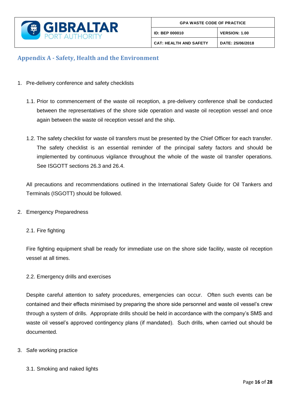

### <span id="page-16-0"></span>**Appendix A - Safety, Health and the Environment**

- 1. Pre-delivery conference and safety checklists
	- 1.1. Prior to commencement of the waste oil reception, a pre-delivery conference shall be conducted between the representatives of the shore side operation and waste oil reception vessel and once again between the waste oil reception vessel and the ship.
	- 1.2. The safety checklist for waste oil transfers must be presented by the Chief Officer for each transfer. The safety checklist is an essential reminder of the principal safety factors and should be implemented by continuous vigilance throughout the whole of the waste oil transfer operations. See ISGOTT sections 26.3 and 26.4.

All precautions and recommendations outlined in the International Safety Guide for Oil Tankers and Terminals (ISGOTT) should be followed.

2. Emergency Preparedness

#### 2.1. Fire fighting

Fire fighting equipment shall be ready for immediate use on the shore side facility, waste oil reception vessel at all times.

#### 2.2. Emergency drills and exercises

Despite careful attention to safety procedures, emergencies can occur. Often such events can be contained and their effects minimised by preparing the shore side personnel and waste oil vessel's crew through a system of drills. Appropriate drills should be held in accordance with the company's SMS and waste oil vessel's approved contingency plans (if mandated). Such drills, when carried out should be documented.

- 3. Safe working practice
	- 3.1. Smoking and naked lights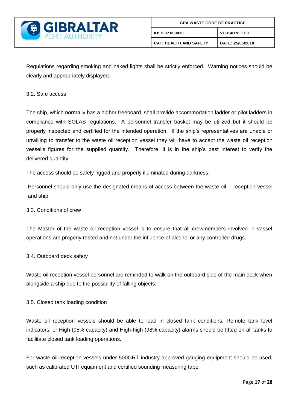

Regulations regarding smoking and naked lights shall be strictly enforced. Warning notices should be clearly and appropriately displayed.

#### 3.2. Safe access

The ship, which normally has a higher freeboard, shall provide accommodation ladder or pilot ladders in compliance with SOLAS regulations. A personnel transfer basket may be utilized but it should be properly inspected and certified for the intended operation. If the ship's representatives are unable or unwilling to transfer to the waste oil reception vessel they will have to accept the waste oil reception vessel's figures for the supplied quantity. Therefore, it is in the ship's best interest to verify the delivered quantity.

The access should be safely rigged and properly illuminated during darkness.

Personnel should only use the designated means of access between the waste oil reception vessel and ship.

#### 3.3. Conditions of crew

The Master of the waste oil reception vessel is to ensure that all crewmembers involved in vessel operations are properly rested and not under the influence of alcohol or any controlled drugs.

#### 3.4. Outboard deck safety

Waste oil reception vessel personnel are reminded to walk on the outboard side of the main deck when alongside a ship due to the possibility of falling objects.

#### 3.5. Closed tank loading condition

Waste oil reception vessels should be able to load in closed tank conditions. Remote tank level indicators, or High (95% capacity) and High-high (98% capacity) alarms should be fitted on all tanks to facilitate closed tank loading operations.

For waste oil reception vessels under 500GRT industry approved gauging equipment should be used, such as calibrated UTI equipment and certified sounding measuring tape.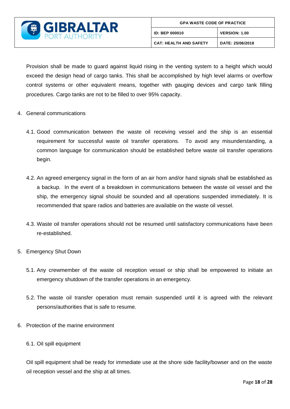

Provision shall be made to guard against liquid rising in the venting system to a height which would exceed the design head of cargo tanks. This shall be accomplished by high level alarms or overflow control systems or other equivalent means, together with gauging devices and cargo tank filling procedures. Cargo tanks are not to be filled to over 95% capacity.

- 4. General communications
	- 4.1. Good communication between the waste oil receiving vessel and the ship is an essential requirement for successful waste oil transfer operations. To avoid any misunderstanding, a common language for communication should be established before waste oil transfer operations begin.
	- 4.2. An agreed emergency signal in the form of an air horn and/or hand signals shall be established as a backup. In the event of a breakdown in communications between the waste oil vessel and the ship, the emergency signal should be sounded and all operations suspended immediately. It is recommended that spare radios and batteries are available on the waste oil vessel.
	- 4.3. Waste oil transfer operations should not be resumed until satisfactory communications have been re-established.
- 5. Emergency Shut Down
	- 5.1. Any crewmember of the waste oil reception vessel or ship shall be empowered to initiate an emergency shutdown of the transfer operations in an emergency.
	- 5.2. The waste oil transfer operation must remain suspended until it is agreed with the relevant persons/authorities that is safe to resume.
- 6. Protection of the marine environment
	- 6.1. Oil spill equipment

Oil spill equipment shall be ready for immediate use at the shore side facility/bowser and on the waste oil reception vessel and the ship at all times.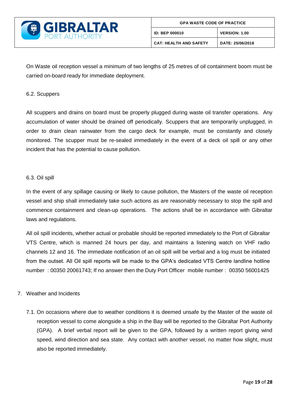

On Waste oil reception vessel a minimum of two lengths of 25 metres of oil containment boom must be carried on-board ready for immediate deployment.

#### 6.2. Scuppers

All scuppers and drains on board must be properly plugged during waste oil transfer operations. Any accumulation of water should be drained off periodically. Scuppers that are temporarily unplugged, in order to drain clean rainwater from the cargo deck for example, must be constantly and closely monitored. The scupper must be re-sealed immediately in the event of a deck oil spill or any other incident that has the potential to cause pollution.

#### 6.3. Oil spill

In the event of any spillage causing or likely to cause pollution, the Masters of the waste oil reception vessel and ship shall immediately take such actions as are reasonably necessary to stop the spill and commence containment and clean-up operations. The actions shall be in accordance with Gibraltar laws and regulations.

All oil spill incidents, whether actual or probable should be reported immediately to the Port of Gibraltar VTS Centre, which is manned 24 hours per day, and maintains a listening watch on VHF radio channels 12 and 16. The immediate notification of an oil spill will be verbal and a log must be initiated from the outset. All Oil spill reports will be made to the GPA's dedicated VTS Centre landline hotline number : 00350 20061743; If no answer then the Duty Port Officer mobile number : 00350 56001425

#### 7. Weather and Incidents

7.1. On occasions where due to weather conditions it is deemed unsafe by the Master of the waste oil reception vessel to come alongside a ship in the Bay will be reported to the Gibraltar Port Authority (GPA). A brief verbal report will be given to the GPA, followed by a written report giving wind speed, wind direction and sea state. Any contact with another vessel, no matter how slight, must also be reported immediately.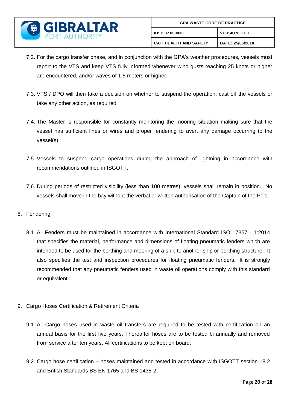

- 7.2. For the cargo transfer phase, and in conjunction with the GPA's weather procedures, vessels must report to the VTS and keep VTS fully informed whenever wind gusts reaching 25 knots or higher are encountered, and/or waves of 1.5 meters or higher.
- 7.3. VTS / DPO will then take a decision on whether to suspend the operation, cast off the vessels or take any other action, as required.
- 7.4. The Master is responsible for constantly monitoring the mooring situation making sure that the vessel has sufficient lines or wires and proper fendering to avert any damage occurring to the vessel(s).
- 7.5. Vessels to suspend cargo operations during the approach of lightning in accordance with recommendations outlined in ISGOTT.
- 7.6. During periods of restricted visibility (less than 100 metres), vessels shall remain in position. No vessels shall move in the bay without the verbal or written authorisation of the Captain of the Port.
- 8. Fendering
	- 8.1. All Fenders must be maintained in accordance with International Standard ISO 17357 1:2014 that specifies the material, performance and dimensions of floating pneumatic fenders which are intended to be used for the berthing and mooring of a ship to another ship or berthing structure. It also specifies the test and inspection procedures for floating pneumatic fenders. It is strongly recommended that any pneumatic fenders used in waste oil operations comply with this standard or equivalent.
- 9. Cargo Hoses Certification & Retirement Criteria
	- 9.1. All Cargo hoses used in waste oil transfers are required to be tested with certification on an annual basis for the first five years. Thereafter hoses are to be tested bi annually and removed from service after ten years. All certifications to be kept on board;
	- 9.2. Cargo hose certification hoses maintained and tested in accordance with ISGOTT section 18.2 and British Standards BS EN 1765 and BS 1435-2;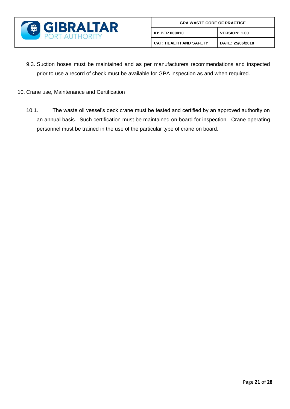

- 9.3. Suction hoses must be maintained and as per manufacturers recommendations and inspected prior to use a record of check must be available for GPA inspection as and when required.
- 10. Crane use, Maintenance and Certification
	- 10.1. The waste oil vessel's deck crane must be tested and certified by an approved authority on an annual basis. Such certification must be maintained on board for inspection. Crane operating personnel must be trained in the use of the particular type of crane on board.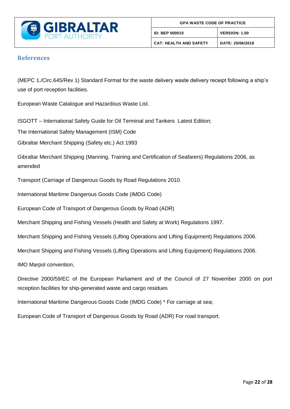

#### <span id="page-22-0"></span>**References**

(MEPC 1./Circ.645/Rev 1) Standard Format for the waste delivery waste delivery receipt following a ship's use of port reception facilities.

European Waste Catalogue and Hazardous Waste List.

ISGOTT – International Safety Guide for Oil Terminal and Tankers Latest Edition;

The International Safety Management (ISM) Code

Gibraltar Merchant Shipping (Safety etc.) Act 1993

Gibraltar Merchant Shipping (Manning, Training and Certification of Seafarers) Regulations 2006, as amended

Transport (Carriage of Dangerous Goods by Road Regulations 2010.

International Maritime Dangerous Goods Code (IMDG Code)

European Code of Transport of Dangerous Goods by Road (ADR)

Merchant Shipping and Fishing Vessels (Health and Safety at Work) Regulations 1997.

Merchant Shipping and Fishing Vessels (Lifting Operations and Lifting Equipment) Regulations 2006.

Merchant Shipping and Fishing Vessels (Lifting Operations and Lifting Equipment) Regulations 2006.

IMO Marpol convention,

Directive 2000/59/EC of the European Parliament and of the Council of 27 November 2000 on port reception facilities for ship-generated waste and cargo residues

International Maritime Dangerous Goods Code (IMDG Code) \* For carriage at sea;

European Code of Transport of Dangerous Goods by Road (ADR) For road transport.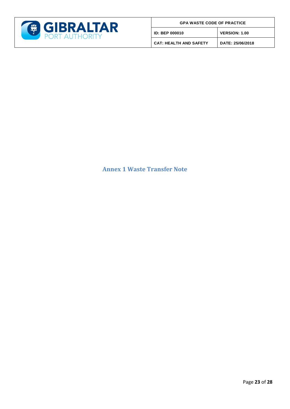

|  |  | <b>GPA WASTE CODE OF PRACTICE</b> |
|--|--|-----------------------------------|
|  |  |                                   |

**ID: BEP 000010 VERSION: 1.00**

**CAT: HEALTH AND SAFETY DATE: 25/06/2018**

### <span id="page-23-0"></span>**Annex 1 Waste Transfer Note**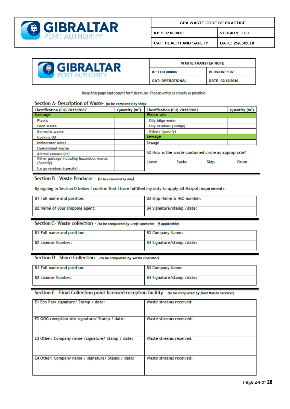

**CAT: HEALTH AND SAFETY DATE: 25/06/2018**

| <b>GIBRALTAR</b><br><b>PORT AUTHORITY</b> |  |
|-------------------------------------------|--|
|-------------------------------------------|--|

| <b>WASTE TRANSFER NOTE</b> |                      |
|----------------------------|----------------------|
| <b>ID: FOR 000087</b>      | <b>VERSION: 1.02</b> |
| <b>CAT: OPERATIONAL</b>    | DATE: 02/12/2016     |

Keep this page and copy it for future use. Please write as clearly as possible.

#### Section A- Description of Waste- (to be completed by ship)

| Classification (EU) 2015/2087                         | Quantity (m <sup>3</sup> ) | Classification (EU) 2015/2087 |                        | Quantity (m <sup>3</sup> )                           |      |
|-------------------------------------------------------|----------------------------|-------------------------------|------------------------|------------------------------------------------------|------|
| Garbage                                               |                            |                               | <b>Waste oils</b>      |                                                      |      |
| Plastic                                               |                            | Oily bilge water              |                        |                                                      |      |
| <b>Food Waste</b>                                     |                            |                               | Oily residues (sludge) |                                                      |      |
| <b>Domestic waste</b>                                 |                            | Others (specify)              |                        |                                                      |      |
| <b>Cooking Oil</b>                                    |                            | <b>Sewage</b>                 |                        |                                                      |      |
| Incinerator ashes                                     |                            | Sewage                        |                        |                                                      |      |
| <b>Operational wastes</b>                             |                            |                               |                        |                                                      |      |
| Animal carcass (es)                                   |                            |                               |                        | A2 How is the waste contained circle as appropriate? |      |
| Other garbage including hazardous waste.<br>(Specify) |                            | Loose                         | <b>Sacks</b>           | <b>Skip</b>                                          | Drum |
| Cargo residues (specify)                              |                            |                               |                        |                                                      |      |

#### Section B - Waste Producer - (to be completed by ship)

By signing in Section D below I confirm that I have fulfilled my duty to apply all Marpol requirements.

| <b>B1 Full name and position:</b> | B3 Ship Name & IMO number: |
|-----------------------------------|----------------------------|
| B2 Name of your shipping agent:   | B4 Signature/stamp /date:  |

Section C- Waste collection - (to be completed by Craft Operator - if applicable)

| <b>B1 Full name and position:</b> | <b>B3 Company Name:</b>   |
|-----------------------------------|---------------------------|
| B2 License Number:                | B4 Signature/stamp /date: |

#### Section D - Shore Collection - (to be completed by Waste Operator)

| B1 Full name and position: | B3 Company Name:          |
|----------------------------|---------------------------|
| <b>B2 License Number:</b>  | B4 Signature/stamp /date: |

#### Section E - Final Collection point licensed reception facility - (to be completed by final Waste receiver)

| E1 Eco Park signature/ Stamp / date:              | Waste streams received: |
|---------------------------------------------------|-------------------------|
| E2 GOG reception site signature/ Stamp / date:    | Waste streams received: |
| E3 Other: Company name /signature/ Stamp / date:  | Waste streams received: |
| E4 Other: Company name / signature/ Stamp / date: | Waste streams received: |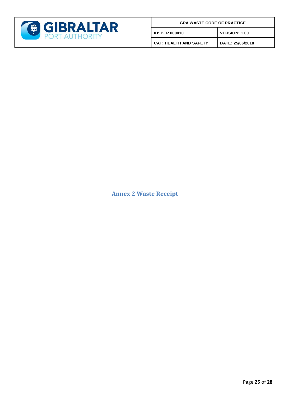

| <b>GPA WASTE CODE OF PRACTICE</b> |  |
|-----------------------------------|--|
|-----------------------------------|--|

**ID: BEP 000010 VERSION: 1.00**

**CAT: HEALTH AND SAFETY DATE: 25/06/2018**

<span id="page-25-0"></span>**Annex 2 Waste Receipt**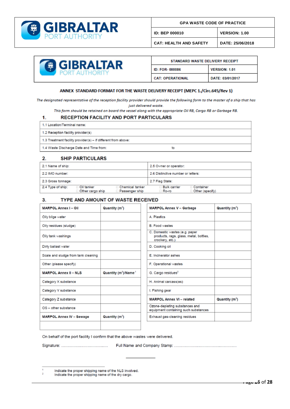

**GPA WASTE CODE OF PRACTICE** 

**ID: BEP 000010 VERSION: 1.00**

**CAT: HEALTH AND SAFETY DATE: 25/06/2018**



| STANDARD WASTE DELIVERY RECEIPT |                      |
|---------------------------------|----------------------|
| <b>ID: FOR-000086</b>           | <b>VERSION: 1.01</b> |
| <b>CAT: OPERATIONAL</b>         | DATE: 03/01/2017     |

#### ANNEX STANDARD FORMAT FOR THE WASTE DELIVERY RECEIPT (MEPC 1./Circ.645/Rev 1)

The designated representative of the reception facility provider should provide the following form to the master of a ship that has just delivered waste.

This form should be retained on board the vessel along with the appropriate Oil RB, Cargo RB or Garbage RB.

#### RECEPTION FACILITY AND PORT PARTICULARS

| 1.1 Location/Terminal name:                                   |    |
|---------------------------------------------------------------|----|
| 1.2 Reception facility provider(s)                            |    |
| 1.3 Treatment facility provider(s) - if different from above: |    |
| 1.4 Waste Discharge Date and Time from:                       | to |

#### $2.$ **SHIP PARTICULARS**

 $\mathbf{1}$ 

| 2.1 Name of ship:  |                                  |                                     | 2.5 Owner or operator:             |                                |  |  |  |  |  |  |
|--------------------|----------------------------------|-------------------------------------|------------------------------------|--------------------------------|--|--|--|--|--|--|
| 2.2 IMO number:    |                                  |                                     | 2.6 Distinctive number or letters: |                                |  |  |  |  |  |  |
| 2.3 Gross tonnage: |                                  |                                     | 2.7 Flag State:                    |                                |  |  |  |  |  |  |
| 2.4 Type of ship:  | ⊟ Oil tanker<br>Other cargo ship | □ Chemical tanker<br>Passenger ship | <b>Bulk carrier</b><br>∃ Ro-ro     | Container<br>□ Other (specify) |  |  |  |  |  |  |

#### $3.$ TYPE AND AMOUNT OF WASTE RECEIVED

| <b>MARPOL Annex I - Oil</b>         | Quantity (m <sup>3</sup> )                   | <b>MARPOL Annex V - Garbage</b>                                                             | Quantity $(m^3)$           |
|-------------------------------------|----------------------------------------------|---------------------------------------------------------------------------------------------|----------------------------|
| Oily bilge water                    |                                              | A Plastics                                                                                  |                            |
| Oily residues (sludge)              |                                              | <b>B. Food wastes</b>                                                                       |                            |
| Oily tank washings                  |                                              | C. Domestic wastes (e.g. paper<br>products, rags, glass, metal, bottles,<br>crockery, etc.) |                            |
| Dirty ballast water                 |                                              | D. Cooking oil                                                                              |                            |
| Scale and sludge from tank cleaning |                                              | E. Incinerator ashes                                                                        |                            |
| Other (please specify)              |                                              | F. Operational wastes                                                                       |                            |
| <b>MARPOL Annex II - NLS</b>        | Quantity (m <sup>3</sup> )/Name <sup>1</sup> | G. Cargo residues <sup>2</sup>                                                              |                            |
| Category X substance                |                                              | H. Animal carcass(es)                                                                       |                            |
| Category Y substance                |                                              | I. Fishing gear                                                                             |                            |
| Category Z substance                |                                              | <b>MARPOL Annex VI - related</b>                                                            | Quantity (m <sup>3</sup> ) |
| $OS - other substance$              |                                              | Ozone-depleting substances and<br>equipment containing such substances                      |                            |
| <b>MARPOL Annex IV - Sewage</b>     | Quantity (m <sup>3</sup> )                   | Exhaust gas-cleaning residues                                                               |                            |
|                                     |                                              |                                                                                             |                            |

On behalf of the port facility I confirm that the above wastes were delivered.

 $\overline{2}$ Indicate the proper shipping name of the dry cargo.

Indicate the proper shipping name of the NLS involved.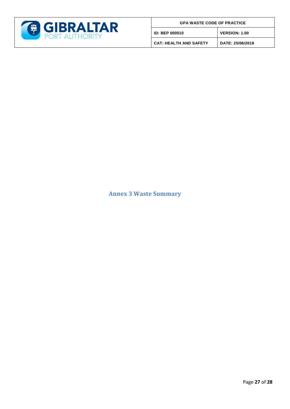

|  |  |  | <b>GPA WASTE CODE OF PRACTICE</b> |  |
|--|--|--|-----------------------------------|--|
|--|--|--|-----------------------------------|--|

**ID: BEP 000010 VERSION: 1.00**

**CAT: HEALTH AND SAFETY DATE: 25/06/2018**

<span id="page-27-0"></span>**Annex 3 Waste Summary**